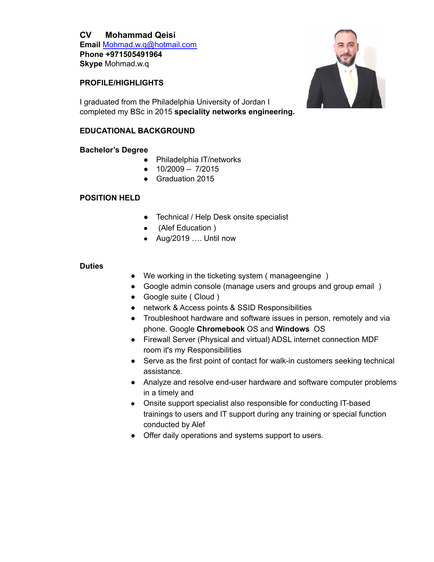# **CV Mohammad Qeisi**

**Email** [Mohmad.w.q@hotmail.com](mailto:Mohmad.w.q@hotmail.com) **Phone +971505491964 Skype** Mohmad.w.q

## **PROFILE/HIGHLIGHTS**

I graduated from the Philadelphia University of Jordan I completed my BSc in 2015 **speciality networks engineering.**

## **EDUCATIONAL BACKGROUND**

### **Bachelor's Degree**

- Philadelphia IT/networks
- $\bullet$  10/2009 7/2015
- Graduation 2015

## **POSITION HELD**

- Technical / Help Desk onsite specialist
- (Alef Education )
- Aug/2019 …. Until now

### **Duties**

- We working in the ticketing system ( manageengine )
- Google admin console (manage users and groups and group email )
- Google suite ( Cloud )
- network & Access points & SSID Responsibilities
- Troubleshoot hardware and software issues in person, remotely and via phone. Google **Chromebook** OS and **Windows** OS
- Firewall Server (Physical and virtual) ADSL internet connection MDF room it's my Responsibilities
- Serve as the first point of contact for walk-in customers seeking technical assistance.
- Analyze and resolve end-user hardware and software computer problems in a timely and
- Onsite support specialist also responsible for conducting IT-based trainings to users and IT support during any training or special function conducted by Alef
- Offer daily operations and systems support to users.

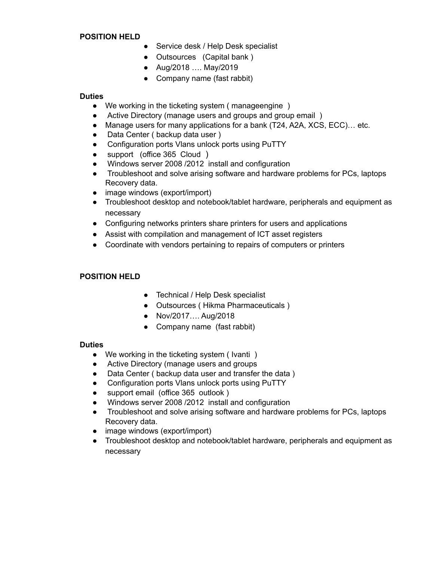#### **POSITION HELD**

- Service desk / Help Desk specialist
- Outsources (Capital bank )
- Aug/2018 …. May/2019
- Company name (fast rabbit)

### **Duties**

- We working in the ticketing system ( manageengine )
- Active Directory (manage users and groups and group email)
- Manage users for many applications for a bank (T24, A2A, XCS, ECC)… etc.
- Data Center (backup data user)
- Configuration ports Vlans unlock ports using PuTTY
- support (office 365 Cloud )
- Windows server 2008 /2012 install and configuration
- Troubleshoot and solve arising software and hardware problems for PCs, laptops Recovery data.
- image windows (export/import)
- Troubleshoot desktop and notebook/tablet hardware, peripherals and equipment as necessary
- Configuring networks printers share printers for users and applications
- Assist with compilation and management of ICT asset registers
- Coordinate with vendors pertaining to repairs of computers or printers

### **POSITION HELD**

- Technical / Help Desk specialist
- Outsources ( Hikma Pharmaceuticals )
- Nov/2017…. Aug/2018
- Company name (fast rabbit)

#### **Duties**

- We working in the ticketing system ( Ivanti )
- Active Directory (manage users and groups
- Data Center (backup data user and transfer the data)
- Configuration ports Vlans unlock ports using PuTTY
- support email (office 365 outlook )
- Windows server 2008 /2012 install and configuration
- Troubleshoot and solve arising software and hardware problems for PCs, laptops Recovery data.
- image windows (export/import)
- Troubleshoot desktop and notebook/tablet hardware, peripherals and equipment as necessary